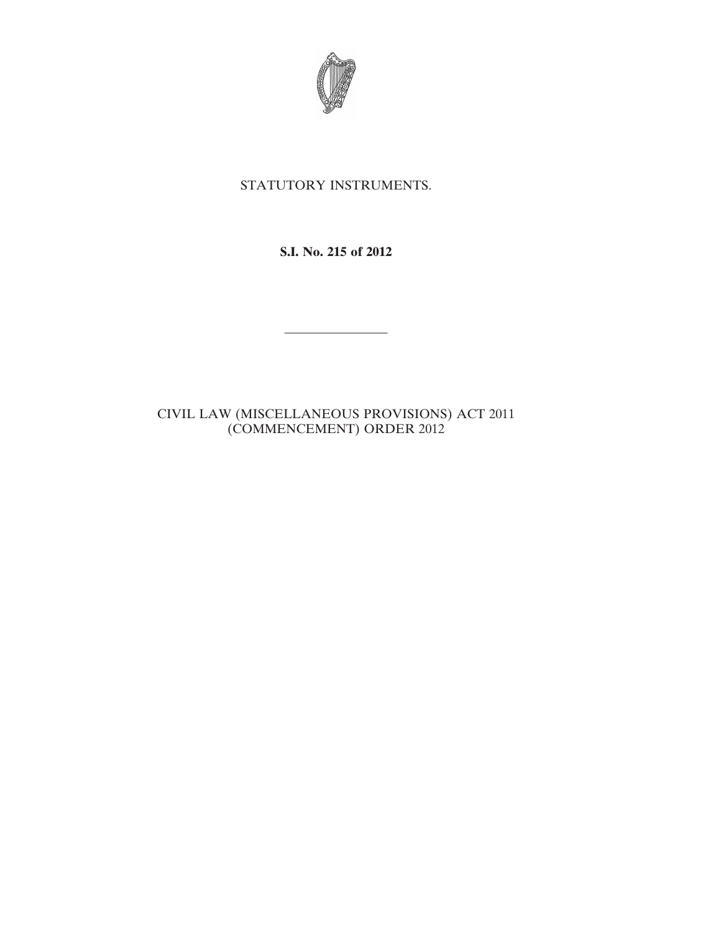

## STATUTORY INSTRUMENTS.

## **S.I. No. 215 of 2012**

————————

## CIVIL LAW (MISCELLANEOUS PROVISIONS) ACT 2011 (COMMENCEMENT) ORDER 2012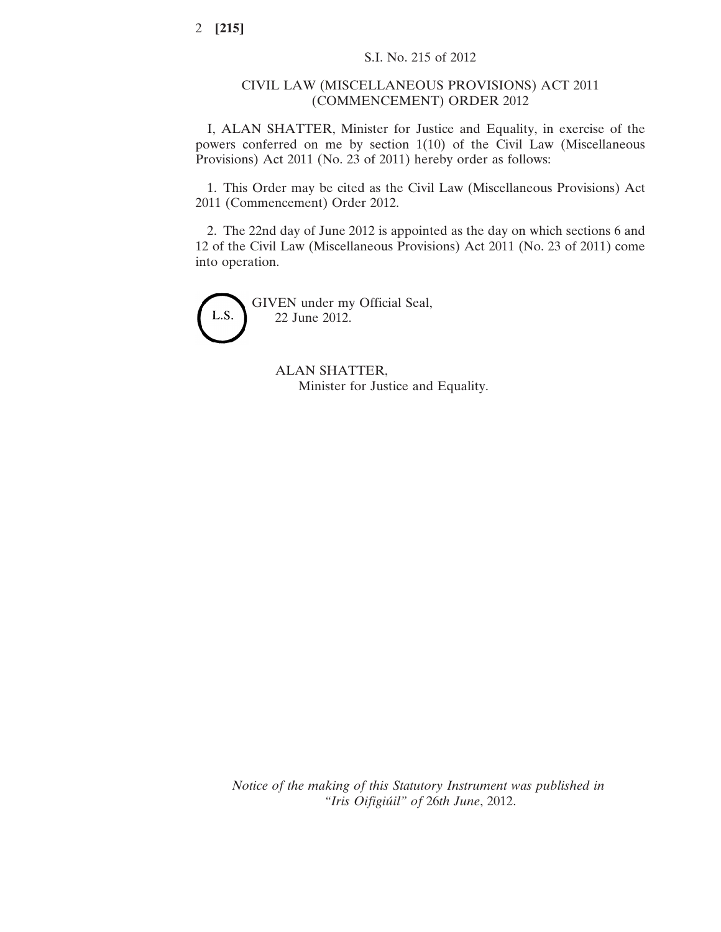## CIVIL LAW (MISCELLANEOUS PROVISIONS) ACT 2011 (COMMENCEMENT) ORDER 2012

I, ALAN SHATTER, Minister for Justice and Equality, in exercise of the powers conferred on me by section 1(10) of the Civil Law (Miscellaneous Provisions) Act 2011 (No. 23 of 2011) hereby order as follows:

1. This Order may be cited as the Civil Law (Miscellaneous Provisions) Act 2011 (Commencement) Order 2012.

2. The 22nd day of June 2012 is appointed as the day on which sections 6 and 12 of the Civil Law (Miscellaneous Provisions) Act 2011 (No. 23 of 2011) come into operation.

GIVEN under my Official Seal, L.S. 22 June 2012.

> ALAN SHATTER, Minister for Justice and Equality.

*Notice of the making of this Statutory Instrument was published in "Iris Oifigiúil" of* 26*th June*, 2012.